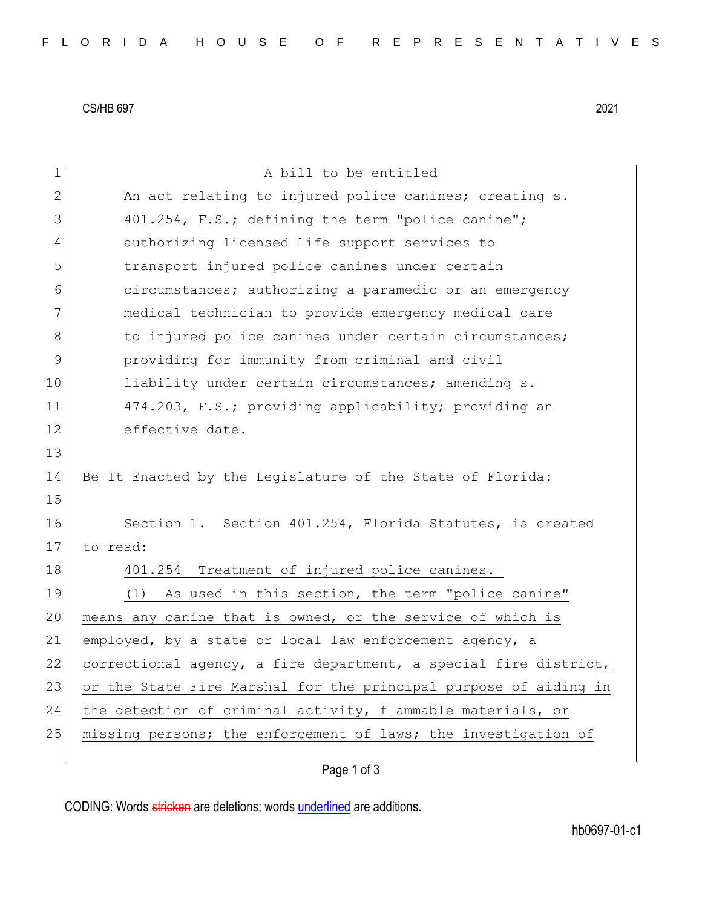CS/HB 697 2021

| $\mathbf 1$ | A bill to be entitled                                            |
|-------------|------------------------------------------------------------------|
| $\sqrt{2}$  | An act relating to injured police canines; creating s.           |
| 3           | 401.254, F.S.; defining the term "police canine";                |
| 4           | authorizing licensed life support services to                    |
| 5           | transport injured police canines under certain                   |
| 6           | circumstances; authorizing a paramedic or an emergency           |
| 7           | medical technician to provide emergency medical care             |
| $\,8\,$     | to injured police canines under certain circumstances;           |
| $\mathsf 9$ | providing for immunity from criminal and civil                   |
| 10          | liability under certain circumstances; amending s.               |
| 11          | 474.203, F.S.; providing applicability; providing an             |
| 12          | effective date.                                                  |
| 13          |                                                                  |
| 14          | Be It Enacted by the Legislature of the State of Florida:        |
| 15          |                                                                  |
| 16          | Section 1. Section 401.254, Florida Statutes, is created         |
| 17          | to read:                                                         |
| 18          | 401.254 Treatment of injured police canines.-                    |
| 19          | As used in this section, the term "police canine"<br>(1)         |
| 20          | means any canine that is owned, or the service of which is       |
| 21          | employed, by a state or local law enforcement agency, a          |
| 22          | correctional agency, a fire department, a special fire district, |
| 23          | or the State Fire Marshal for the principal purpose of aiding in |
| 24          | the detection of criminal activity, flammable materials, or      |
| 25          | missing persons; the enforcement of laws; the investigation of   |
|             |                                                                  |

Page 1 of 3

CODING: Words stricken are deletions; words underlined are additions.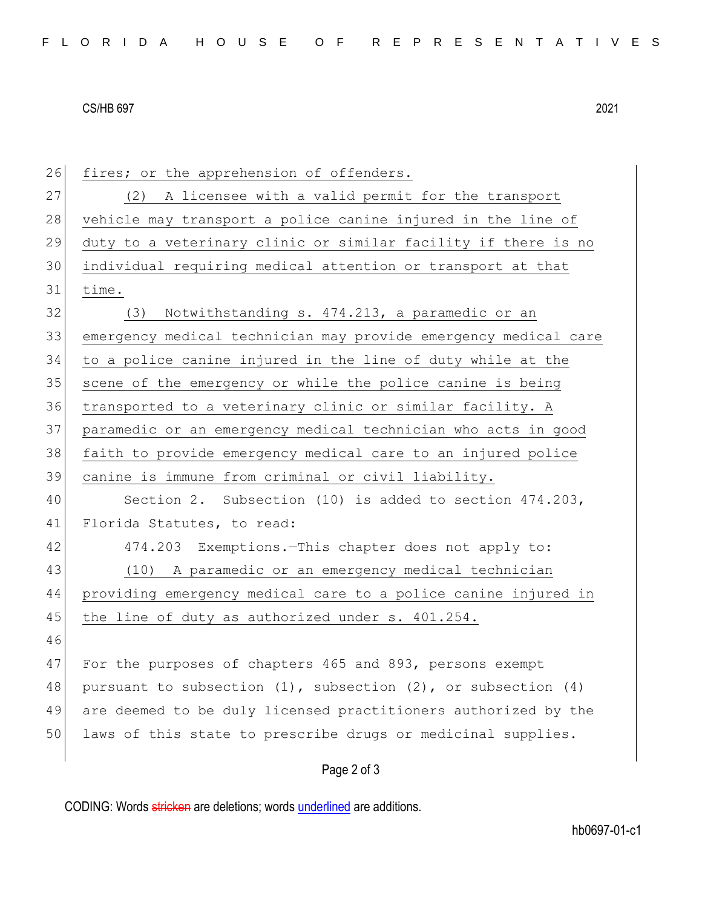## CS/HB 697 2021

26 fires; or the apprehension of offenders. 27 (2) A licensee with a valid permit for the transport 28 vehicle may transport a police canine injured in the line of 29 duty to a veterinary clinic or similar facility if there is no 30 individual requiring medical attention or transport at that 31 time. 32 (3) Notwithstanding s. 474.213, a paramedic or an 33 emergency medical technician may provide emergency medical care 34 to a police canine injured in the line of duty while at the 35 scene of the emergency or while the police canine is being 36 transported to a veterinary clinic or similar facility. A 37 paramedic or an emergency medical technician who acts in good 38 faith to provide emergency medical care to an injured police 39 canine is immune from criminal or civil liability. 40 Section 2. Subsection (10) is added to section 474.203, 41 Florida Statutes, to read: 42 474.203 Exemptions.—This chapter does not apply to: 43 (10) A paramedic or an emergency medical technician 44 providing emergency medical care to a police canine injured in 45 the line of duty as authorized under s. 401.254. 46 47 For the purposes of chapters 465 and 893, persons exempt 48 pursuant to subsection  $(1)$ , subsection  $(2)$ , or subsection  $(4)$ 49 are deemed to be duly licensed practitioners authorized by the 50 laws of this state to prescribe drugs or medicinal supplies.

Page 2 of 3

CODING: Words stricken are deletions; words underlined are additions.

hb0697-01-c1